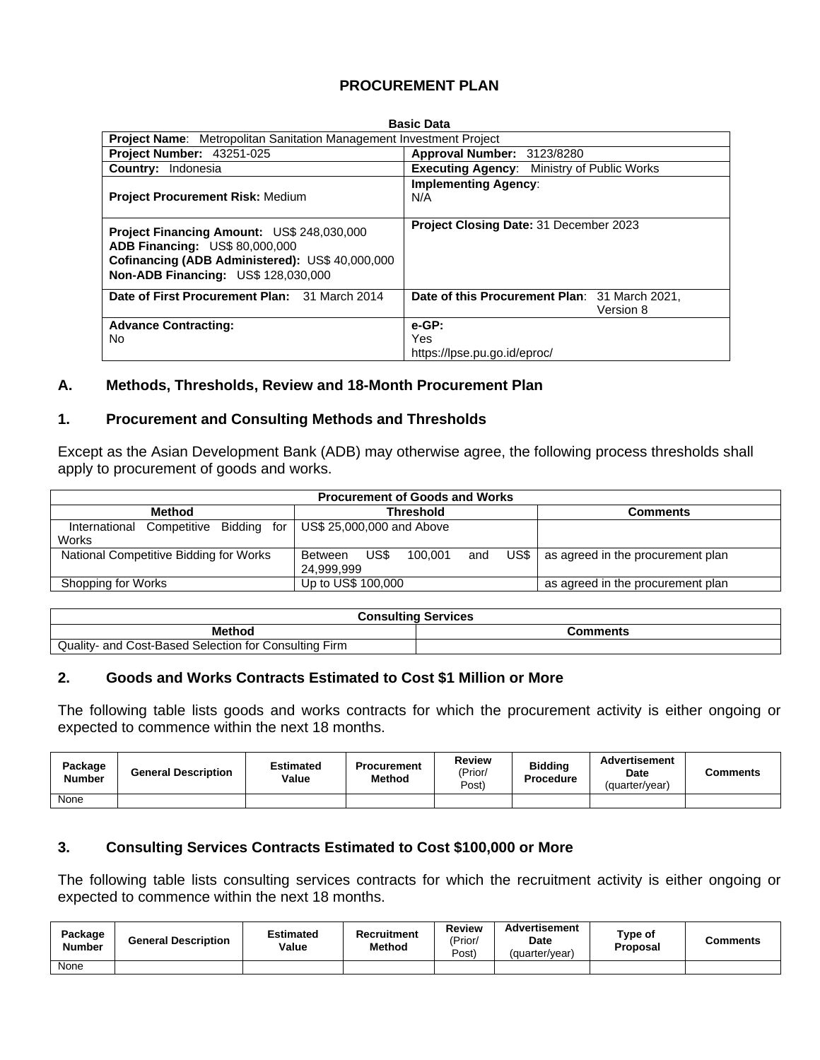# **PROCUREMENT PLAN**

| <b>Basic Data</b>                                                                                                                                                             |                                                            |  |  |  |  |  |  |  |  |
|-------------------------------------------------------------------------------------------------------------------------------------------------------------------------------|------------------------------------------------------------|--|--|--|--|--|--|--|--|
| <b>Project Name:</b> Metropolitan Sanitation Management Investment Project                                                                                                    |                                                            |  |  |  |  |  |  |  |  |
| Project Number: 43251-025                                                                                                                                                     | Approval Number: 3123/8280                                 |  |  |  |  |  |  |  |  |
| <b>Country: Indonesia</b>                                                                                                                                                     | <b>Executing Agency:</b> Ministry of Public Works          |  |  |  |  |  |  |  |  |
| <b>Project Procurement Risk: Medium</b>                                                                                                                                       | <b>Implementing Agency:</b><br>N/A                         |  |  |  |  |  |  |  |  |
| <b>Project Financing Amount: US\$ 248,030,000</b><br>ADB Financing: US\$ 80,000,000<br>Cofinancing (ADB Administered): US\$ 40,000,000<br>Non-ADB Financing: US\$ 128,030,000 | Project Closing Date: 31 December 2023                     |  |  |  |  |  |  |  |  |
| Date of First Procurement Plan: 31 March 2014                                                                                                                                 | Date of this Procurement Plan: 31 March 2021,<br>Version 8 |  |  |  |  |  |  |  |  |
| <b>Advance Contracting:</b><br>No                                                                                                                                             | $e-GP$ :<br>Yes<br>https://lpse.pu.go.id/eproc/            |  |  |  |  |  |  |  |  |

### **A. Methods, Thresholds, Review and 18-Month Procurement Plan**

### **1. Procurement and Consulting Methods and Thresholds**

Except as the Asian Development Bank (ADB) may otherwise agree, the following process thresholds shall apply to procurement of goods and works.

| <b>Procurement of Goods and Works</b>             |                                                           |                                   |  |  |  |  |  |  |  |
|---------------------------------------------------|-----------------------------------------------------------|-----------------------------------|--|--|--|--|--|--|--|
| Method                                            | <b>Threshold</b>                                          | Comments                          |  |  |  |  |  |  |  |
| Competitive Bidding for<br>International<br>Works | US\$ 25,000,000 and Above                                 |                                   |  |  |  |  |  |  |  |
| National Competitive Bidding for Works            | US\$<br>US\$ I<br>100.001<br>and<br>Between<br>24.999.999 | as agreed in the procurement plan |  |  |  |  |  |  |  |
| Shopping for Works                                | Up to US\$ 100,000                                        | as agreed in the procurement plan |  |  |  |  |  |  |  |

| <b>Consulting Services</b>                                                 |          |  |  |  |  |
|----------------------------------------------------------------------------|----------|--|--|--|--|
| <b>Method</b>                                                              | Comments |  |  |  |  |
| <b>Quality-</b><br>Cost-Based Selection for 0<br>and<br>Consulting<br>Firm |          |  |  |  |  |

## **2. Goods and Works Contracts Estimated to Cost \$1 Million or More**

The following table lists goods and works contracts for which the procurement activity is either ongoing or expected to commence within the next 18 months.

| Package<br><b>Number</b> | <b>General Description</b> | Estimated<br>Value | <b>Procurement</b><br><b>Method</b> | <b>Review</b><br>'Prior/<br>Post | <b>Bidding</b><br>Procedure | <b>Advertisement</b><br><b>Date</b><br>(quarter/year) | Comments |
|--------------------------|----------------------------|--------------------|-------------------------------------|----------------------------------|-----------------------------|-------------------------------------------------------|----------|
| None                     |                            |                    |                                     |                                  |                             |                                                       |          |

## **3. Consulting Services Contracts Estimated to Cost \$100,000 or More**

The following table lists consulting services contracts for which the recruitment activity is either ongoing or expected to commence within the next 18 months.

| Package<br>Number | <b>General Description</b> | Estimated<br>Value | Recruitment<br>Method | Review<br>'Prior<br>Post) | Advertisement<br><b>Date</b><br>(quarter/year) | Type of<br>Proposal | Comments |
|-------------------|----------------------------|--------------------|-----------------------|---------------------------|------------------------------------------------|---------------------|----------|
| None              |                            |                    |                       |                           |                                                |                     |          |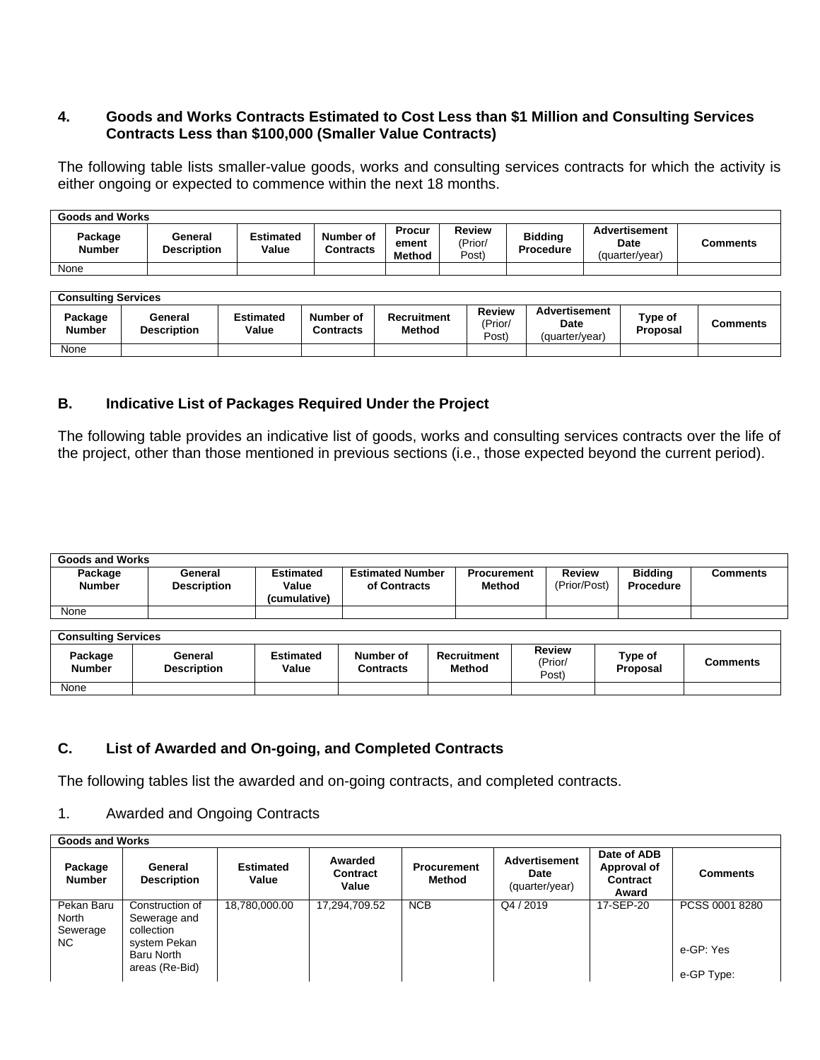# **4. Goods and Works Contracts Estimated to Cost Less than \$1 Million and Consulting Services Contracts Less than \$100,000 (Smaller Value Contracts)**

The following table lists smaller-value goods, works and consulting services contracts for which the activity is either ongoing or expected to commence within the next 18 months.

| <b>Goods and Works</b>   |                               |                           |                        |                                         |                            |                                    |                                                |          |  |  |
|--------------------------|-------------------------------|---------------------------|------------------------|-----------------------------------------|----------------------------|------------------------------------|------------------------------------------------|----------|--|--|
| Package<br><b>Number</b> | General<br><b>Description</b> | <b>Estimated</b><br>Value | Number of<br>Contracts | <b>Procur</b><br>ement<br><b>Method</b> | Review<br>(Prior/<br>Post) | <b>Bidding</b><br><b>Procedure</b> | <b>Advertisement</b><br>Date<br>(quarter/vear) | Comments |  |  |
| None                     |                               |                           |                        |                                         |                            |                                    |                                                |          |  |  |

| <b>Consulting Services</b> |                               |                           |                               |                              |                                   |                                                |                            |          |  |  |
|----------------------------|-------------------------------|---------------------------|-------------------------------|------------------------------|-----------------------------------|------------------------------------------------|----------------------------|----------|--|--|
| Package<br><b>Number</b>   | General<br><b>Description</b> | <b>Estimated</b><br>Value | Number of<br><b>Contracts</b> | <b>Recruitment</b><br>Method | <b>Review</b><br>'Prior/<br>Post) | Advertisement<br><b>Date</b><br>(quarter/vear) | Type of<br><b>Proposal</b> | Comments |  |  |
| None                       |                               |                           |                               |                              |                                   |                                                |                            |          |  |  |

# **B. Indicative List of Packages Required Under the Project**

The following table provides an indicative list of goods, works and consulting services contracts over the life of the project, other than those mentioned in previous sections (i.e., those expected beyond the current period).

| <b>Goods and Works</b>   |                               |                                    |                                         |                                     |                               |                             |                 |  |  |  |
|--------------------------|-------------------------------|------------------------------------|-----------------------------------------|-------------------------------------|-------------------------------|-----------------------------|-----------------|--|--|--|
| Package<br><b>Number</b> | General<br><b>Description</b> | Estimated<br>Value<br>(cumulative) | <b>Estimated Number</b><br>of Contracts | <b>Procurement</b><br><b>Method</b> | <b>Review</b><br>(Prior/Post) | <b>Bidding</b><br>Procedure | <b>Comments</b> |  |  |  |
| None                     |                               |                                    |                                         |                                     |                               |                             |                 |  |  |  |

| <b>Consulting Services</b> |                               |                    |                        |                              |                                   |                     |          |  |  |  |
|----------------------------|-------------------------------|--------------------|------------------------|------------------------------|-----------------------------------|---------------------|----------|--|--|--|
| Package<br><b>Number</b>   | General<br><b>Description</b> | Estimated<br>Value | Number of<br>Contracts | Recruitment<br><b>Method</b> | <b>Review</b><br>'Prior/<br>Post) | Type of<br>Proposal | Comments |  |  |  |
| None                       |                               |                    |                        |                              |                                   |                     |          |  |  |  |

# **C. List of Awarded and On-going, and Completed Contracts**

The following tables list the awarded and on-going contracts, and completed contracts.

# 1. Awarded and Ongoing Contracts

| <b>Goods and Works</b>                 |                                                                                               |                           |                              |                              |                                                |                                                 |                                           |  |  |  |
|----------------------------------------|-----------------------------------------------------------------------------------------------|---------------------------|------------------------------|------------------------------|------------------------------------------------|-------------------------------------------------|-------------------------------------------|--|--|--|
| Package<br><b>Number</b>               | General<br><b>Description</b>                                                                 | <b>Estimated</b><br>Value | Awarded<br>Contract<br>Value | <b>Procurement</b><br>Method | <b>Advertisement</b><br>Date<br>(quarter/year) | Date of ADB<br>Approval of<br>Contract<br>Award | <b>Comments</b>                           |  |  |  |
| Pekan Baru<br>North<br>Sewerage<br>NC. | Construction of<br>Sewerage and<br>collection<br>system Pekan<br>Baru North<br>areas (Re-Bid) | 18,780,000.00             | 17,294,709.52                | <b>NCB</b>                   | Q4 / 2019                                      | 17-SEP-20                                       | PCSS 0001 8280<br>e-GP: Yes<br>e-GP Type: |  |  |  |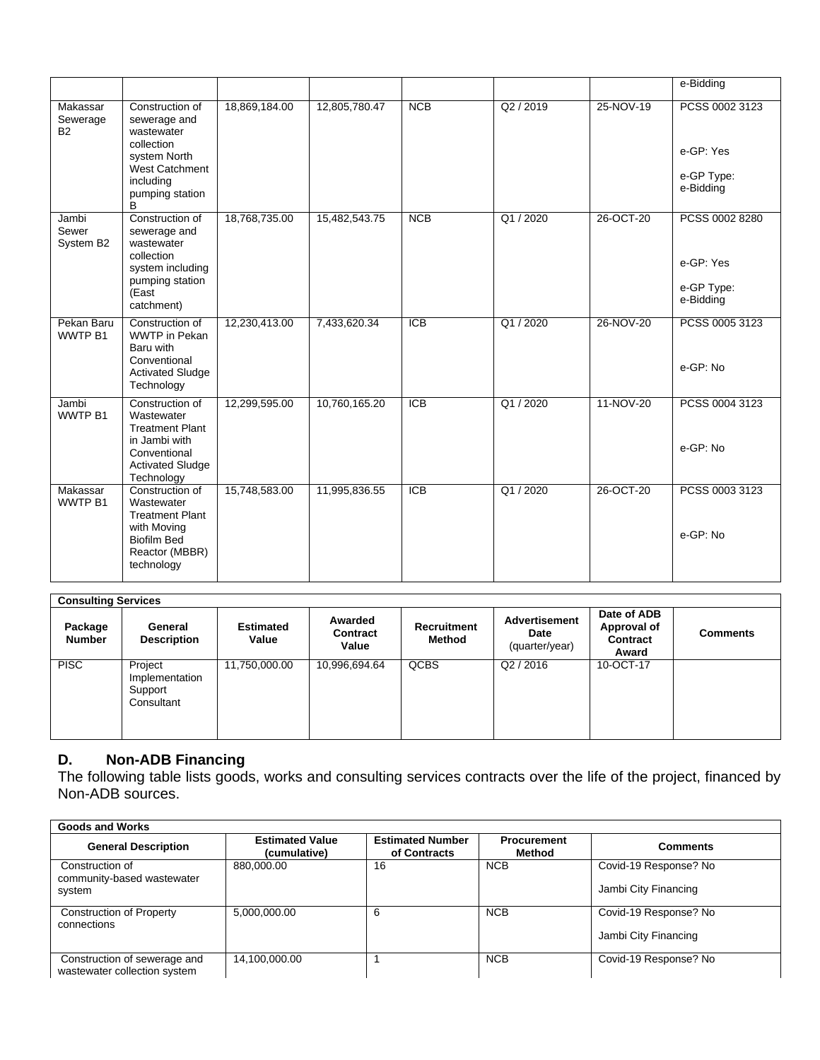|                                         |                                                                                                                                           |               |               |                  |         |           | e-Bidding                                              |
|-----------------------------------------|-------------------------------------------------------------------------------------------------------------------------------------------|---------------|---------------|------------------|---------|-----------|--------------------------------------------------------|
| Makassar<br>Sewerage<br><b>B2</b>       | Construction of<br>sewerage and<br>wastewater<br>collection<br>system North<br><b>West Catchment</b><br>including<br>pumping station<br>B | 18,869,184.00 | 12,805,780.47 | <b>NCB</b>       | Q2/2019 | 25-NOV-19 | PCSS 0002 3123<br>e-GP: Yes<br>e-GP Type:<br>e-Bidding |
| Jambi<br>Sewer<br>System B <sub>2</sub> | Construction of<br>sewerage and<br>wastewater<br>collection<br>system including<br>pumping station<br>(East<br>catchment)                 | 18,768,735.00 | 15,482,543.75 | NCB              | Q1/2020 | 26-OCT-20 | PCSS 0002 8280<br>e-GP: Yes<br>e-GP Type:<br>e-Bidding |
| Pekan Baru<br>WWTP B1                   | Construction of<br><b>WWTP</b> in Pekan<br>Baru with<br>Conventional<br><b>Activated Sludge</b><br>Technology                             | 12,230,413.00 | 7,433,620.34  | $\overline{ICB}$ | Q1/2020 | 26-NOV-20 | PCSS 0005 3123<br>e-GP: No                             |
| Jambi<br>WWTP <sub>B1</sub>             | Construction of<br>Wastewater<br><b>Treatment Plant</b><br>in Jambi with<br>Conventional<br><b>Activated Sludge</b><br>Technology         | 12,299,595.00 | 10,760,165.20 | ICB              | Q1/2020 | 11-NOV-20 | PCSS 0004 3123<br>e-GP: No                             |
| Makassar<br>WWTP B1                     | Construction of<br>Wastewater<br><b>Treatment Plant</b><br>with Moving<br><b>Biofilm Bed</b><br>Reactor (MBBR)<br>technology              | 15,748,583.00 | 11,995,836.55 | <b>ICB</b>       | Q1/2020 | 26-OCT-20 | PCSS 0003 3123<br>e-GP: No                             |

# **Consulting Services**

| Package<br><b>Number</b> | General<br><b>Description</b>                      | <b>Estimated</b><br>Value | Awarded<br>Contract<br>Value | Recruitment<br>Method | Advertisement<br>Date<br>(quarter/year) | Date of ADB<br>Approval of<br>Contract<br>Award | <b>Comments</b> |
|--------------------------|----------------------------------------------------|---------------------------|------------------------------|-----------------------|-----------------------------------------|-------------------------------------------------|-----------------|
| <b>PISC</b>              | Project<br>Implementation<br>Support<br>Consultant | 11,750,000.00             | 10,996,694.64                | <b>QCBS</b>           | Q2/2016                                 | 10-OCT-17                                       |                 |

## **D. Non-ADB Financing**

The following table lists goods, works and consulting services contracts over the life of the project, financed by Non-ADB sources.

| Goods and Works                                              |                                        |                                         |                              |                                               |
|--------------------------------------------------------------|----------------------------------------|-----------------------------------------|------------------------------|-----------------------------------------------|
| <b>General Description</b>                                   | <b>Estimated Value</b><br>(cumulative) | <b>Estimated Number</b><br>of Contracts | <b>Procurement</b><br>Method | <b>Comments</b>                               |
| Construction of<br>community-based wastewater<br>system      | 880.000.00                             | 16                                      | <b>NCB</b>                   | Covid-19 Response? No<br>Jambi City Financing |
| <b>Construction of Property</b><br>connections               | 5,000,000.00                           | 6                                       | <b>NCB</b>                   | Covid-19 Response? No<br>Jambi City Financing |
| Construction of sewerage and<br>wastewater collection system | 14,100,000.00                          |                                         | <b>NCB</b>                   | Covid-19 Response? No                         |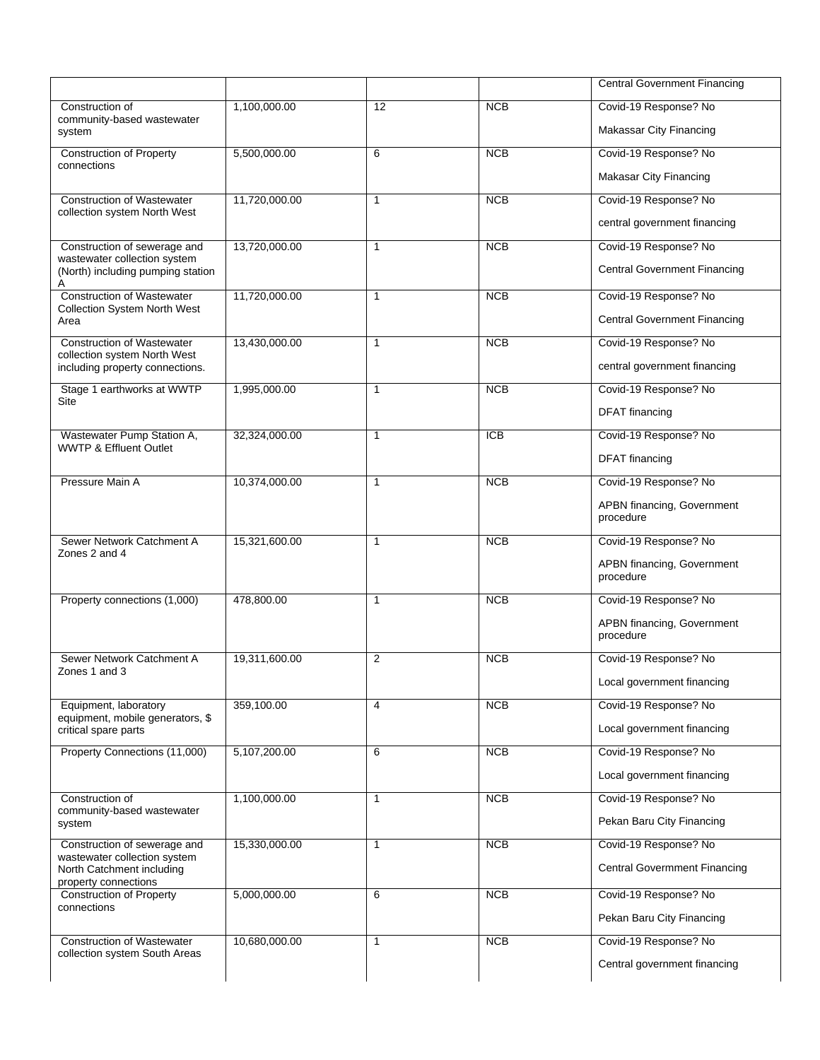|                                                                                                                   |               |              |                  | <b>Central Government Financing</b>                              |
|-------------------------------------------------------------------------------------------------------------------|---------------|--------------|------------------|------------------------------------------------------------------|
| Construction of<br>community-based wastewater<br>system                                                           | 1,100,000.00  | 12           | <b>NCB</b>       | Covid-19 Response? No<br><b>Makassar City Financing</b>          |
| <b>Construction of Property</b><br>connections                                                                    | 5,500,000.00  | 6            | <b>NCB</b>       | Covid-19 Response? No<br>Makasar City Financing                  |
| <b>Construction of Wastewater</b><br>collection system North West                                                 | 11,720,000.00 | $\mathbf{1}$ | NCB              | Covid-19 Response? No<br>central government financing            |
| Construction of sewerage and<br>wastewater collection system<br>(North) including pumping station                 | 13,720,000.00 | $\mathbf{1}$ | <b>NCB</b>       | Covid-19 Response? No<br><b>Central Government Financing</b>     |
| <b>Construction of Wastewater</b><br><b>Collection System North West</b><br>Area                                  | 11,720,000.00 | $\mathbf{1}$ | NCB              | Covid-19 Response? No<br><b>Central Government Financing</b>     |
| <b>Construction of Wastewater</b><br>collection system North West<br>including property connections.              | 13,430,000.00 | $\mathbf{1}$ | <b>NCB</b>       | Covid-19 Response? No<br>central government financing            |
| Stage 1 earthworks at WWTP<br>Site                                                                                | 1,995,000.00  | 1            | <b>NCB</b>       | Covid-19 Response? No<br><b>DFAT</b> financing                   |
| Wastewater Pump Station A,<br>WWTP & Effluent Outlet                                                              | 32,324,000.00 | $\mathbf{1}$ | $\overline{ICB}$ | Covid-19 Response? No<br><b>DFAT</b> financing                   |
| Pressure Main A                                                                                                   | 10,374,000.00 | $\mathbf{1}$ | <b>NCB</b>       | Covid-19 Response? No<br>APBN financing, Government<br>procedure |
| Sewer Network Catchment A<br>Zones 2 and 4                                                                        | 15,321,600.00 | $\mathbf{1}$ | NCB              | Covid-19 Response? No<br>APBN financing, Government<br>procedure |
| Property connections (1,000)                                                                                      | 478,800.00    | $\mathbf{1}$ | <b>NCB</b>       | Covid-19 Response? No<br>APBN financing, Government<br>procedure |
| Sewer Network Catchment A<br>Zones 1 and 3                                                                        | 19,311,600.00 | 2            | <b>NCB</b>       | Covid-19 Response? No<br>Local government financing              |
| Equipment, laboratory<br>equipment, mobile generators, \$<br>critical spare parts                                 | 359,100.00    | 4            | <b>NCB</b>       | Covid-19 Response? No<br>Local government financing              |
| Property Connections (11,000)                                                                                     | 5,107,200.00  | 6            | <b>NCB</b>       | Covid-19 Response? No<br>Local government financing              |
| Construction of<br>community-based wastewater<br>system                                                           | 1,100,000.00  | $\mathbf{1}$ | <b>NCB</b>       | Covid-19 Response? No<br>Pekan Baru City Financing               |
| Construction of sewerage and<br>wastewater collection system<br>North Catchment including<br>property connections | 15,330,000.00 | $\mathbf{1}$ | <b>NCB</b>       | Covid-19 Response? No<br><b>Central Govermment Financing</b>     |
| <b>Construction of Property</b><br>connections                                                                    | 5,000,000.00  | 6            | <b>NCB</b>       | Covid-19 Response? No<br>Pekan Baru City Financing               |
| <b>Construction of Wastewater</b><br>collection system South Areas                                                | 10,680,000.00 | $\mathbf{1}$ | <b>NCB</b>       | Covid-19 Response? No<br>Central government financing            |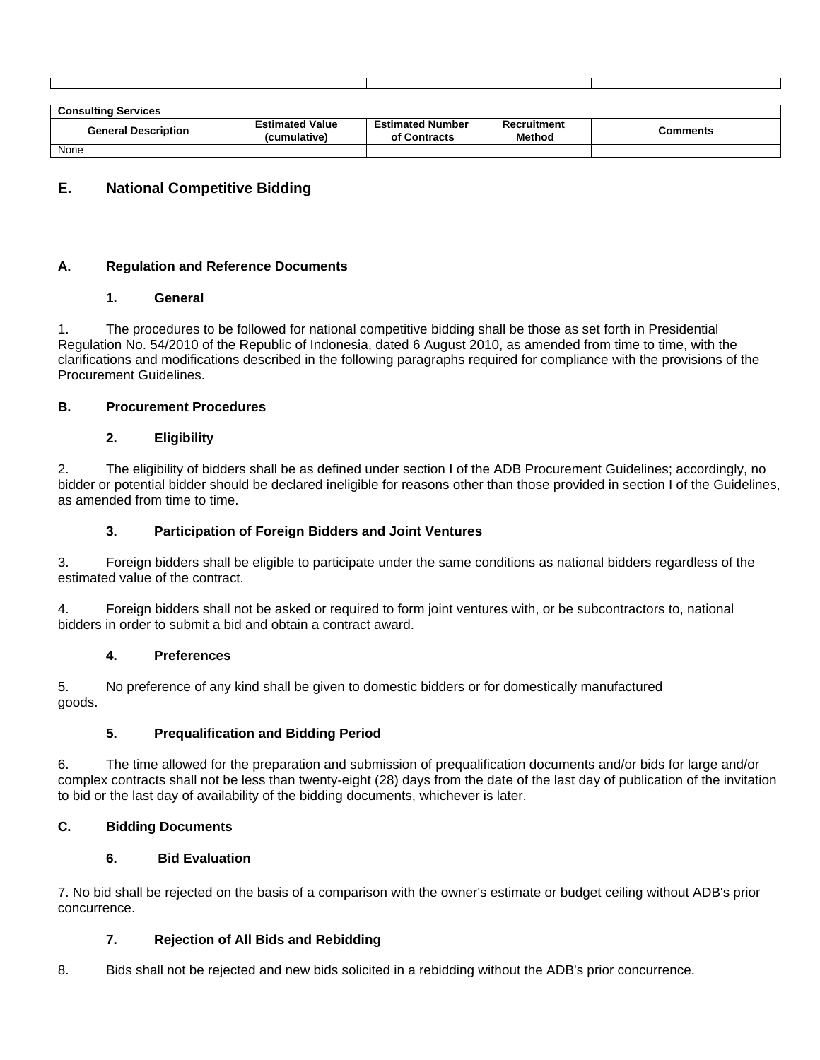| Conculting<br>™ices<br>Consulting<br>. |  |  |  |
|----------------------------------------|--|--|--|

| <b>General Description</b> | Estimated Value<br>(cumulative) | <b>Estimated Number</b><br>of Contracts | Recruitment<br><b>Method</b> | Comments |
|----------------------------|---------------------------------|-----------------------------------------|------------------------------|----------|
| None                       |                                 |                                         |                              |          |

## **E. National Competitive Bidding**

#### **A. Regulation and Reference Documents**

### **1. General**

1. The procedures to be followed for national competitive bidding shall be those as set forth in Presidential Regulation No. 54/2010 of the Republic of Indonesia, dated 6 August 2010, as amended from time to time, with the clarifications and modifications described in the following paragraphs required for compliance with the provisions of the Procurement Guidelines.

### **B. Procurement Procedures**

### **2. Eligibility**

2. The eligibility of bidders shall be as defined under section I of the ADB Procurement Guidelines; accordingly, no bidder or potential bidder should be declared ineligible for reasons other than those provided in section I of the Guidelines, as amended from time to time.

#### **3. Participation of Foreign Bidders and Joint Ventures**

3. Foreign bidders shall be eligible to participate under the same conditions as national bidders regardless of the estimated value of the contract.

4. Foreign bidders shall not be asked or required to form joint ventures with, or be subcontractors to, national bidders in order to submit a bid and obtain a contract award.

#### **4. Preferences**

5. No preference of any kind shall be given to domestic bidders or for domestically manufactured goods.

## **5. Prequalification and Bidding Period**

6. The time allowed for the preparation and submission of prequalification documents and/or bids for large and/or complex contracts shall not be less than twenty-eight (28) days from the date of the last day of publication of the invitation to bid or the last day of availability of the bidding documents, whichever is later.

## **C. Bidding Documents**

#### **6. Bid Evaluation**

7. No bid shall be rejected on the basis of a comparison with the owner's estimate or budget ceiling without ADB's prior concurrence.

## **7. Rejection of All Bids and Rebidding**

8. Bids shall not be rejected and new bids solicited in a rebidding without the ADB's prior concurrence.